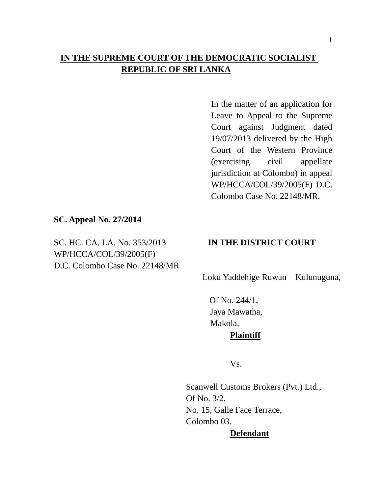# **IN THE SUPREME COURT OF THE DEMOCRATIC SOCIALIST REPUBLIC OF SRI LANKA**

In the matter of an application for Leave to Appeal to the Supreme Court against Judgment dated 19/07/2013 delivered by the High Court of the Western Province (exercising civil appellate jurisdiction at Colombo) in appeal WP/HCCA/COL/39/2005(F) D.C. Colombo Case No. 22148/MR.

### **SC. Appeal No. 27/2014**

SC. HC. CA. LA. No. 353/2013 **IN THE DISTRICT COURT** WP/HCCA/COL/39/2005(F) D.C. Colombo Case No. 22148/MR

Loku Yaddehige Ruwan Kulunuguna,

 Of No. 244/1, Jaya Mawatha, Makola. **Plaintiff**

Vs.

Scanwell Customs Brokers (Pvt.) Ltd., Of No. 3/2, No. 15, Galle Face Terrace, Colombo 03.

## **Defendant**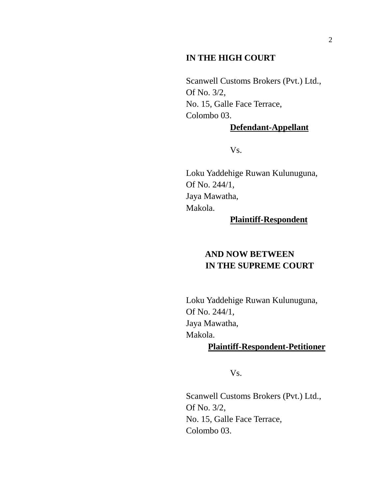### **IN THE HIGH COURT**

Scanwell Customs Brokers (Pvt.) Ltd., Of No. 3/2, No. 15, Galle Face Terrace, Colombo 03.

#### **Defendant-Appellant**

Vs.

Loku Yaddehige Ruwan Kulunuguna, Of No. 244/1, Jaya Mawatha, Makola.

#### **Plaintiff-Respondent**

# **AND NOW BETWEEN IN THE SUPREME COURT**

Loku Yaddehige Ruwan Kulunuguna, Of No. 244/1, Jaya Mawatha, Makola.

## **Plaintiff-Respondent-Petitioner**

Vs.

Scanwell Customs Brokers (Pvt.) Ltd., Of No. 3/2, No. 15, Galle Face Terrace, Colombo 03.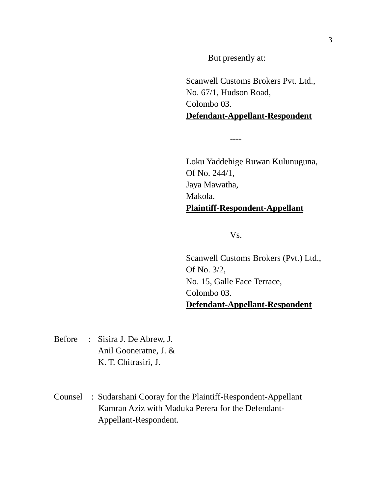But presently at:

Scanwell Customs Brokers Pvt. Ltd., No. 67/1, Hudson Road, Colombo 03. **Defendant-Appellant-Respondent**

----

Loku Yaddehige Ruwan Kulunuguna, Of No. 244/1, Jaya Mawatha, Makola. **Plaintiff-Respondent-Appellant**

Vs.

Scanwell Customs Brokers (Pvt.) Ltd., Of No. 3/2, No. 15, Galle Face Terrace, Colombo 03. **Defendant-Appellant-Respondent**

- Before : Sisira J. De Abrew, J. Anil Gooneratne, J. & K. T. Chitrasiri, J.
- Counsel : Sudarshani Cooray for the Plaintiff-Respondent-Appellant Kamran Aziz with Maduka Perera for the Defendant-Appellant-Respondent.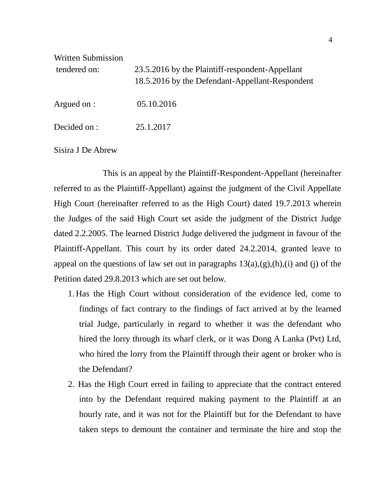| <b>Written Submission</b><br>tendered on: | 23.5.2016 by the Plaintiff-respondent-Appellant<br>18.5.2016 by the Defendant-Appellant-Respondent |
|-------------------------------------------|----------------------------------------------------------------------------------------------------|
| Argued on :                               | 05.10.2016                                                                                         |
| Decided on :                              | 25.1.2017                                                                                          |

Sisira J De Abrew

 This is an appeal by the Plaintiff-Respondent-Appellant (hereinafter referred to as the Plaintiff-Appellant) against the judgment of the Civil Appellate High Court (hereinafter referred to as the High Court) dated 19.7.2013 wherein the Judges of the said High Court set aside the judgment of the District Judge dated 2.2.2005. The learned District Judge delivered the judgment in favour of the Plaintiff-Appellant. This court by its order dated 24.2.2014, granted leave to appeal on the questions of law set out in paragraphs  $13(a), (g), (h), (i)$  and (j) of the Petition dated 29.8.2013 which are set out below.

- 1. Has the High Court without consideration of the evidence led, come to findings of fact contrary to the findings of fact arrived at by the learned trial Judge, particularly in regard to whether it was the defendant who hired the lorry through its wharf clerk, or it was Dong A Lanka (Pvt) Ltd, who hired the lorry from the Plaintiff through their agent or broker who is the Defendant?
- 2. Has the High Court erred in failing to appreciate that the contract entered into by the Defendant required making payment to the Plaintiff at an hourly rate, and it was not for the Plaintiff but for the Defendant to have taken steps to demount the container and terminate the hire and stop the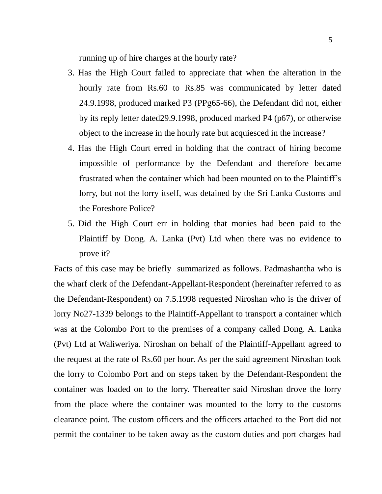running up of hire charges at the hourly rate?

- 3. Has the High Court failed to appreciate that when the alteration in the hourly rate from Rs.60 to Rs.85 was communicated by letter dated 24.9.1998, produced marked P3 (PPg65-66), the Defendant did not, either by its reply letter dated29.9.1998, produced marked P4 (p67), or otherwise object to the increase in the hourly rate but acquiesced in the increase?
- 4. Has the High Court erred in holding that the contract of hiring become impossible of performance by the Defendant and therefore became frustrated when the container which had been mounted on to the Plaintiff"s lorry, but not the lorry itself, was detained by the Sri Lanka Customs and the Foreshore Police?
- 5. Did the High Court err in holding that monies had been paid to the Plaintiff by Dong. A. Lanka (Pvt) Ltd when there was no evidence to prove it?

Facts of this case may be briefly summarized as follows. Padmashantha who is the wharf clerk of the Defendant-Appellant-Respondent (hereinafter referred to as the Defendant-Respondent) on 7.5.1998 requested Niroshan who is the driver of lorry No27-1339 belongs to the Plaintiff-Appellant to transport a container which was at the Colombo Port to the premises of a company called Dong. A. Lanka (Pvt) Ltd at Waliweriya. Niroshan on behalf of the Plaintiff-Appellant agreed to the request at the rate of Rs.60 per hour. As per the said agreement Niroshan took the lorry to Colombo Port and on steps taken by the Defendant-Respondent the container was loaded on to the lorry. Thereafter said Niroshan drove the lorry from the place where the container was mounted to the lorry to the customs clearance point. The custom officers and the officers attached to the Port did not permit the container to be taken away as the custom duties and port charges had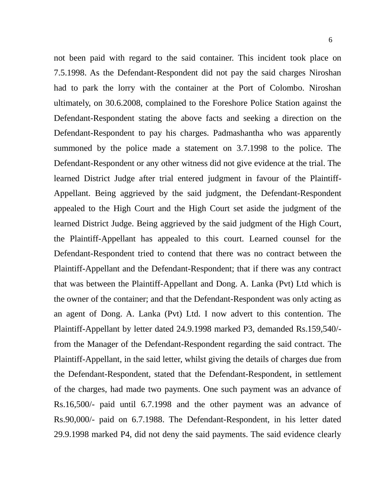not been paid with regard to the said container. This incident took place on 7.5.1998. As the Defendant-Respondent did not pay the said charges Niroshan had to park the lorry with the container at the Port of Colombo. Niroshan ultimately, on 30.6.2008, complained to the Foreshore Police Station against the Defendant-Respondent stating the above facts and seeking a direction on the Defendant-Respondent to pay his charges. Padmashantha who was apparently summoned by the police made a statement on 3.7.1998 to the police. The Defendant-Respondent or any other witness did not give evidence at the trial. The learned District Judge after trial entered judgment in favour of the Plaintiff-Appellant. Being aggrieved by the said judgment, the Defendant-Respondent appealed to the High Court and the High Court set aside the judgment of the learned District Judge. Being aggrieved by the said judgment of the High Court, the Plaintiff-Appellant has appealed to this court. Learned counsel for the Defendant-Respondent tried to contend that there was no contract between the Plaintiff-Appellant and the Defendant-Respondent; that if there was any contract that was between the Plaintiff-Appellant and Dong. A. Lanka (Pvt) Ltd which is the owner of the container; and that the Defendant-Respondent was only acting as an agent of Dong. A. Lanka (Pvt) Ltd. I now advert to this contention. The Plaintiff-Appellant by letter dated 24.9.1998 marked P3, demanded Rs.159,540/ from the Manager of the Defendant-Respondent regarding the said contract. The Plaintiff-Appellant, in the said letter, whilst giving the details of charges due from the Defendant-Respondent, stated that the Defendant-Respondent, in settlement of the charges, had made two payments. One such payment was an advance of Rs.16,500/- paid until 6.7.1998 and the other payment was an advance of Rs.90,000/- paid on 6.7.1988. The Defendant-Respondent, in his letter dated 29.9.1998 marked P4, did not deny the said payments. The said evidence clearly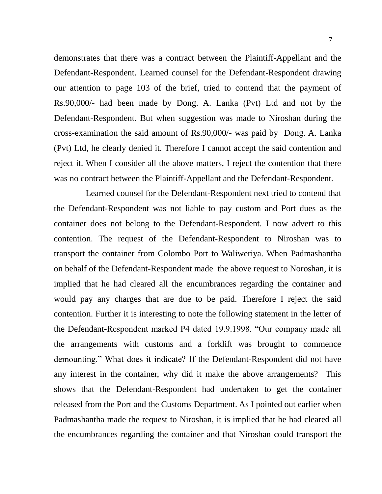demonstrates that there was a contract between the Plaintiff-Appellant and the Defendant-Respondent. Learned counsel for the Defendant-Respondent drawing our attention to page 103 of the brief, tried to contend that the payment of Rs.90,000/- had been made by Dong. A. Lanka (Pvt) Ltd and not by the Defendant-Respondent. But when suggestion was made to Niroshan during the cross-examination the said amount of Rs.90,000/- was paid by Dong. A. Lanka (Pvt) Ltd, he clearly denied it. Therefore I cannot accept the said contention and reject it. When I consider all the above matters, I reject the contention that there was no contract between the Plaintiff-Appellant and the Defendant-Respondent.

 Learned counsel for the Defendant-Respondent next tried to contend that the Defendant-Respondent was not liable to pay custom and Port dues as the container does not belong to the Defendant-Respondent. I now advert to this contention. The request of the Defendant-Respondent to Niroshan was to transport the container from Colombo Port to Waliweriya. When Padmashantha on behalf of the Defendant-Respondent made the above request to Noroshan, it is implied that he had cleared all the encumbrances regarding the container and would pay any charges that are due to be paid. Therefore I reject the said contention. Further it is interesting to note the following statement in the letter of the Defendant-Respondent marked P4 dated 19.9.1998. "Our company made all the arrangements with customs and a forklift was brought to commence demounting." What does it indicate? If the Defendant-Respondent did not have any interest in the container, why did it make the above arrangements? This shows that the Defendant-Respondent had undertaken to get the container released from the Port and the Customs Department. As I pointed out earlier when Padmashantha made the request to Niroshan, it is implied that he had cleared all the encumbrances regarding the container and that Niroshan could transport the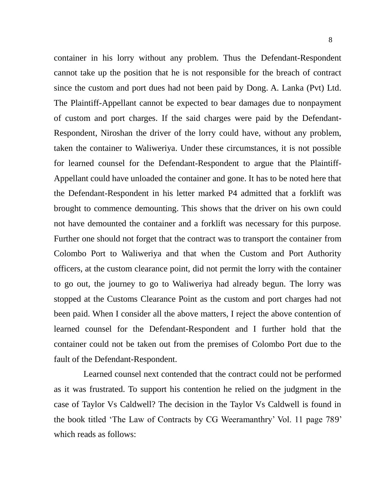container in his lorry without any problem. Thus the Defendant-Respondent cannot take up the position that he is not responsible for the breach of contract since the custom and port dues had not been paid by Dong. A. Lanka (Pvt) Ltd. The Plaintiff-Appellant cannot be expected to bear damages due to nonpayment of custom and port charges. If the said charges were paid by the Defendant-Respondent, Niroshan the driver of the lorry could have, without any problem, taken the container to Waliweriya. Under these circumstances, it is not possible for learned counsel for the Defendant-Respondent to argue that the Plaintiff-Appellant could have unloaded the container and gone. It has to be noted here that the Defendant-Respondent in his letter marked P4 admitted that a forklift was brought to commence demounting. This shows that the driver on his own could not have demounted the container and a forklift was necessary for this purpose. Further one should not forget that the contract was to transport the container from Colombo Port to Waliweriya and that when the Custom and Port Authority officers, at the custom clearance point, did not permit the lorry with the container to go out, the journey to go to Waliweriya had already begun. The lorry was stopped at the Customs Clearance Point as the custom and port charges had not been paid. When I consider all the above matters, I reject the above contention of learned counsel for the Defendant-Respondent and I further hold that the container could not be taken out from the premises of Colombo Port due to the fault of the Defendant-Respondent.

 Learned counsel next contended that the contract could not be performed as it was frustrated. To support his contention he relied on the judgment in the case of Taylor Vs Caldwell? The decision in the Taylor Vs Caldwell is found in the book titled "The Law of Contracts by CG Weeramanthry" Vol. 11 page 789" which reads as follows: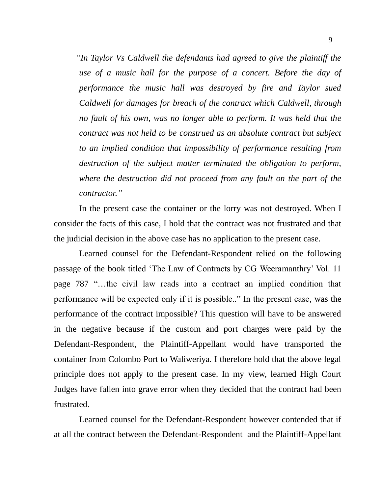*"In Taylor Vs Caldwell the defendants had agreed to give the plaintiff the use of a music hall for the purpose of a concert. Before the day of performance the music hall was destroyed by fire and Taylor sued Caldwell for damages for breach of the contract which Caldwell, through no fault of his own, was no longer able to perform. It was held that the contract was not held to be construed as an absolute contract but subject to an implied condition that impossibility of performance resulting from destruction of the subject matter terminated the obligation to perform, where the destruction did not proceed from any fault on the part of the contractor."* 

In the present case the container or the lorry was not destroyed. When I consider the facts of this case, I hold that the contract was not frustrated and that the judicial decision in the above case has no application to the present case.

Learned counsel for the Defendant-Respondent relied on the following passage of the book titled "The Law of Contracts by CG Weeramanthry" Vol. 11 page 787 "…the civil law reads into a contract an implied condition that performance will be expected only if it is possible.." In the present case, was the performance of the contract impossible? This question will have to be answered in the negative because if the custom and port charges were paid by the Defendant-Respondent, the Plaintiff-Appellant would have transported the container from Colombo Port to Waliweriya. I therefore hold that the above legal principle does not apply to the present case. In my view, learned High Court Judges have fallen into grave error when they decided that the contract had been frustrated.

Learned counsel for the Defendant-Respondent however contended that if at all the contract between the Defendant-Respondent and the Plaintiff-Appellant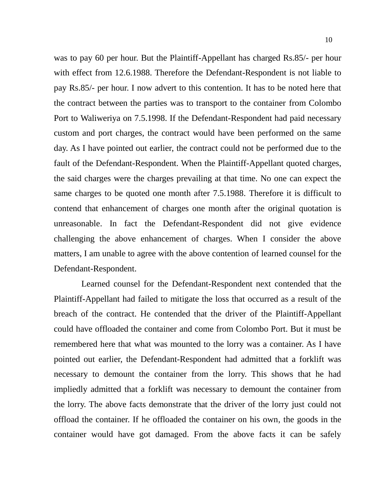was to pay 60 per hour. But the Plaintiff-Appellant has charged Rs.85/- per hour with effect from 12.6.1988. Therefore the Defendant-Respondent is not liable to pay Rs.85/- per hour. I now advert to this contention. It has to be noted here that the contract between the parties was to transport to the container from Colombo Port to Waliweriya on 7.5.1998. If the Defendant-Respondent had paid necessary custom and port charges, the contract would have been performed on the same day. As I have pointed out earlier, the contract could not be performed due to the fault of the Defendant-Respondent. When the Plaintiff-Appellant quoted charges, the said charges were the charges prevailing at that time. No one can expect the same charges to be quoted one month after 7.5.1988. Therefore it is difficult to contend that enhancement of charges one month after the original quotation is unreasonable. In fact the Defendant-Respondent did not give evidence challenging the above enhancement of charges. When I consider the above matters, I am unable to agree with the above contention of learned counsel for the Defendant-Respondent.

Learned counsel for the Defendant-Respondent next contended that the Plaintiff-Appellant had failed to mitigate the loss that occurred as a result of the breach of the contract. He contended that the driver of the Plaintiff-Appellant could have offloaded the container and come from Colombo Port. But it must be remembered here that what was mounted to the lorry was a container. As I have pointed out earlier, the Defendant-Respondent had admitted that a forklift was necessary to demount the container from the lorry. This shows that he had impliedly admitted that a forklift was necessary to demount the container from the lorry. The above facts demonstrate that the driver of the lorry just could not offload the container. If he offloaded the container on his own, the goods in the container would have got damaged. From the above facts it can be safely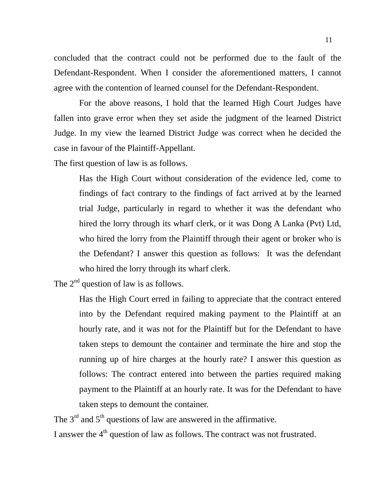concluded that the contract could not be performed due to the fault of the Defendant-Respondent. When I consider the aforementioned matters, I cannot agree with the contention of learned counsel for the Defendant-Respondent.

For the above reasons, I hold that the learned High Court Judges have fallen into grave error when they set aside the judgment of the learned District Judge. In my view the learned District Judge was correct when he decided the case in favour of the Plaintiff-Appellant.

The first question of law is as follows.

Has the High Court without consideration of the evidence led, come to findings of fact contrary to the findings of fact arrived at by the learned trial Judge, particularly in regard to whether it was the defendant who hired the lorry through its wharf clerk, or it was Dong A Lanka (Pvt) Ltd, who hired the lorry from the Plaintiff through their agent or broker who is the Defendant? I answer this question as follows: It was the defendant who hired the lorry through its wharf clerk.

The  $2<sup>nd</sup>$  question of law is as follows.

Has the High Court erred in failing to appreciate that the contract entered into by the Defendant required making payment to the Plaintiff at an hourly rate, and it was not for the Plaintiff but for the Defendant to have taken steps to demount the container and terminate the hire and stop the running up of hire charges at the hourly rate? I answer this question as follows: The contract entered into between the parties required making payment to the Plaintiff at an hourly rate. It was for the Defendant to have taken steps to demount the container.

The  $3<sup>rd</sup>$  and  $5<sup>th</sup>$  questions of law are answered in the affirmative.

I answer the 4<sup>th</sup> question of law as follows. The contract was not frustrated.